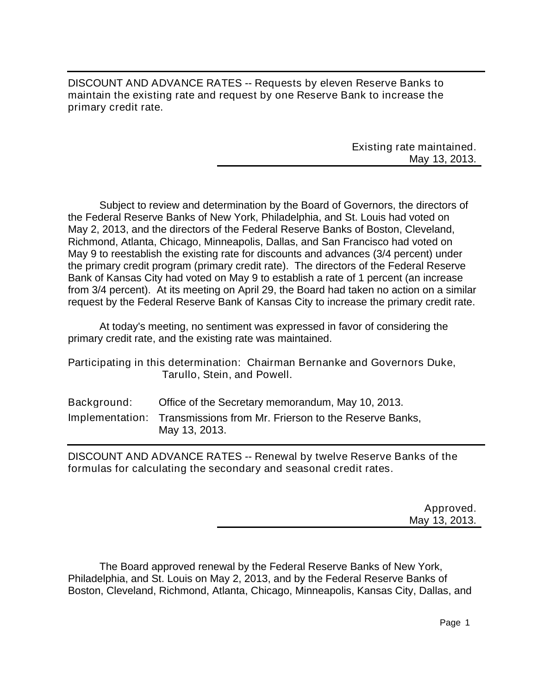DISCOUNT AND ADVANCE RATES -- Requests by eleven Reserve Banks to maintain the existing rate and request by one Reserve Bank to increase the primary credit rate.

> Existing rate maintained. May 13, 2013.

Subject to review and determination by the Board of Governors, the directors of the Federal Reserve Banks of New York, Philadelphia, and St. Louis had voted on May 2, 2013, and the directors of the Federal Reserve Banks of Boston, Cleveland, Richmond, Atlanta, Chicago, Minneapolis, Dallas, and San Francisco had voted on May 9 to reestablish the existing rate for discounts and advances (3/4 percent) under the primary credit program (primary credit rate). The directors of the Federal Reserve Bank of Kansas City had voted on May 9 to establish a rate of 1 percent (an increase from 3/4 percent). At its meeting on April 29, the Board had taken no action on a similar request by the Federal Reserve Bank of Kansas City to increase the primary credit rate.

At today's meeting, no sentiment was expressed in favor of considering the primary credit rate, and the existing rate was maintained.

Participating in this determination: Chairman Bernanke and Governors Duke, Tarullo, Stein, and Powell.

| Background: | Office of the Secretary memorandum, May 10, 2013.                                      |
|-------------|----------------------------------------------------------------------------------------|
|             | Implementation: Transmissions from Mr. Frierson to the Reserve Banks,<br>May 13, 2013. |

DISCOUNT AND ADVANCE RATES -- Renewal by twelve Reserve Banks of the formulas for calculating the secondary and seasonal credit rates.

> Approved. May 13, 2013.

The Board approved renewal by the Federal Reserve Banks of New York, Philadelphia, and St. Louis on May 2, 2013, and by the Federal Reserve Banks of Boston, Cleveland, Richmond, Atlanta, Chicago, Minneapolis, Kansas City, Dallas, and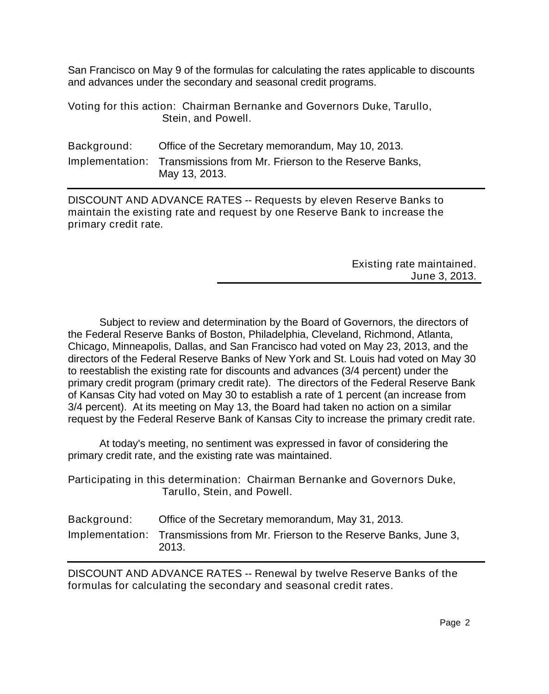San Francisco on May 9 of the formulas for calculating the rates applicable to discounts and advances under the secondary and seasonal credit programs.

| Voting for this action: Chairman Bernanke and Governors Duke, Tarullo, |
|------------------------------------------------------------------------|
| Stein, and Powell.                                                     |

| Background: | Office of the Secretary memorandum, May 10, 2013.                                      |
|-------------|----------------------------------------------------------------------------------------|
|             | Implementation: Transmissions from Mr. Frierson to the Reserve Banks,<br>May 13, 2013. |

DISCOUNT AND ADVANCE RATES -- Requests by eleven Reserve Banks to maintain the existing rate and request by one Reserve Bank to increase the primary credit rate.

> Existing rate maintained. June 3, 2013.

Subject to review and determination by the Board of Governors, the directors of the Federal Reserve Banks of Boston, Philadelphia, Cleveland, Richmond, Atlanta, Chicago, Minneapolis, Dallas, and San Francisco had voted on May 23, 2013, and the directors of the Federal Reserve Banks of New York and St. Louis had voted on May 30 to reestablish the existing rate for discounts and advances (3/4 percent) under the primary credit program (primary credit rate). The directors of the Federal Reserve Bank of Kansas City had voted on May 30 to establish a rate of 1 percent (an increase from 3/4 percent). At its meeting on May 13, the Board had taken no action on a similar request by the Federal Reserve Bank of Kansas City to increase the primary credit rate.

At today's meeting, no sentiment was expressed in favor of considering the primary credit rate, and the existing rate was maintained.

Participating in this determination: Chairman Bernanke and Governors Duke, Tarullo, Stein, and Powell.

| Background: | Office of the Secretary memorandum, May 31, 2013.                                      |
|-------------|----------------------------------------------------------------------------------------|
|             | Implementation: Transmissions from Mr. Frierson to the Reserve Banks, June 3,<br>2013. |

DISCOUNT AND ADVANCE RATES -- Renewal by twelve Reserve Banks of the formulas for calculating the secondary and seasonal credit rates.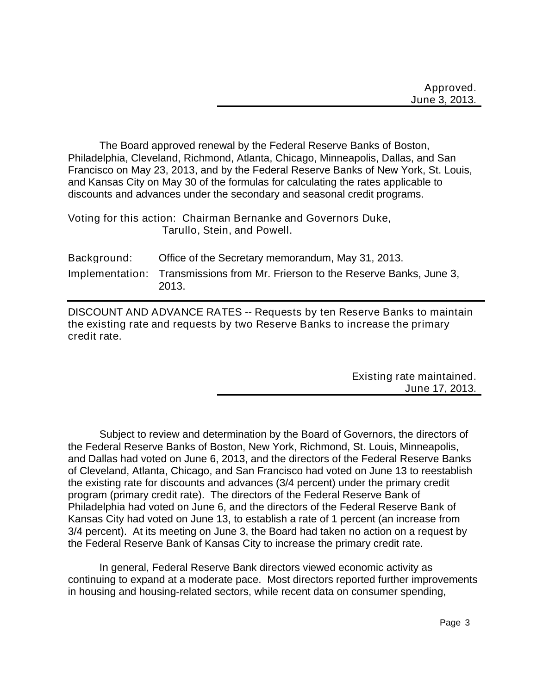The Board approved renewal by the Federal Reserve Banks of Boston, Philadelphia, Cleveland, Richmond, Atlanta, Chicago, Minneapolis, Dallas, and San Francisco on May 23, 2013, and by the Federal Reserve Banks of New York, St. Louis, and Kansas City on May 30 of the formulas for calculating the rates applicable to discounts and advances under the secondary and seasonal credit programs.

Voting for this action: Chairman Bernanke and Governors Duke, Tarullo, Stein, and Powell.

| Background: | Office of the Secretary memorandum, May 31, 2013.                                      |
|-------------|----------------------------------------------------------------------------------------|
|             | Implementation: Transmissions from Mr. Frierson to the Reserve Banks, June 3,<br>2013. |

DISCOUNT AND ADVANCE RATES -- Requests by ten Reserve Banks to maintain the existing rate and requests by two Reserve Banks to increase the primary credit rate.

> Existing rate maintained. June 17, 2013.

Subject to review and determination by the Board of Governors, the directors of the Federal Reserve Banks of Boston, New York, Richmond, St. Louis, Minneapolis, and Dallas had voted on June 6, 2013, and the directors of the Federal Reserve Banks of Cleveland, Atlanta, Chicago, and San Francisco had voted on June 13 to reestablish the existing rate for discounts and advances (3/4 percent) under the primary credit program (primary credit rate). The directors of the Federal Reserve Bank of Philadelphia had voted on June 6, and the directors of the Federal Reserve Bank of Kansas City had voted on June 13, to establish a rate of 1 percent (an increase from 3/4 percent). At its meeting on June 3, the Board had taken no action on a request by the Federal Reserve Bank of Kansas City to increase the primary credit rate.

In general, Federal Reserve Bank directors viewed economic activity as continuing to expand at a moderate pace. Most directors reported further improvements in housing and housing-related sectors, while recent data on consumer spending,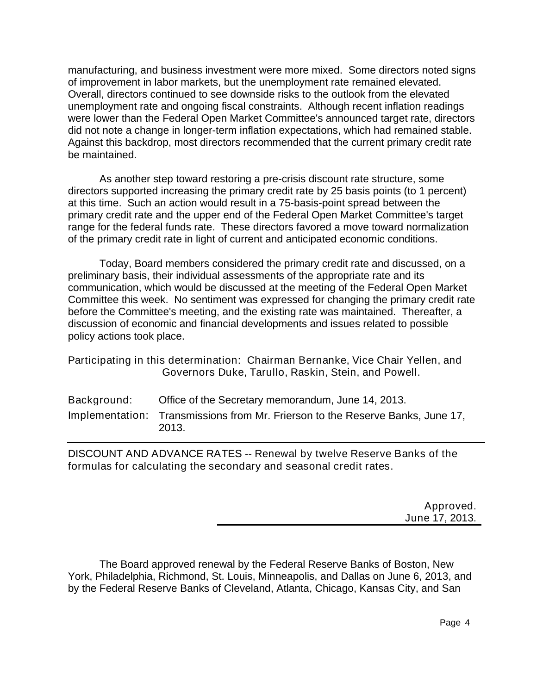manufacturing, and business investment were more mixed. Some directors noted signs of improvement in labor markets, but the unemployment rate remained elevated. Overall, directors continued to see downside risks to the outlook from the elevated unemployment rate and ongoing fiscal constraints. Although recent inflation readings were lower than the Federal Open Market Committee's announced target rate, directors did not note a change in longer-term inflation expectations, which had remained stable. Against this backdrop, most directors recommended that the current primary credit rate be maintained.

As another step toward restoring a pre-crisis discount rate structure, some directors supported increasing the primary credit rate by 25 basis points (to 1 percent) at this time. Such an action would result in a 75-basis-point spread between the primary credit rate and the upper end of the Federal Open Market Committee's target range for the federal funds rate. These directors favored a move toward normalization of the primary credit rate in light of current and anticipated economic conditions.

Today, Board members considered the primary credit rate and discussed, on a preliminary basis, their individual assessments of the appropriate rate and its communication, which would be discussed at the meeting of the Federal Open Market Committee this week. No sentiment was expressed for changing the primary credit rate before the Committee's meeting, and the existing rate was maintained. Thereafter, a discussion of economic and financial developments and issues related to possible policy actions took place.

Participating in this determination: Chairman Bernanke, Vice Chair Yellen, and Governors Duke, Tarullo, Raskin, Stein, and Powell.

| Background: | Office of the Secretary memorandum, June 14, 2013.                                      |
|-------------|-----------------------------------------------------------------------------------------|
|             | Implementation: Transmissions from Mr. Frierson to the Reserve Banks, June 17,<br>2013. |

DISCOUNT AND ADVANCE RATES -- Renewal by twelve Reserve Banks of the formulas for calculating the secondary and seasonal credit rates.

> Approved. June 17, 2013.

The Board approved renewal by the Federal Reserve Banks of Boston, New York, Philadelphia, Richmond, St. Louis, Minneapolis, and Dallas on June 6, 2013, and by the Federal Reserve Banks of Cleveland, Atlanta, Chicago, Kansas City, and San